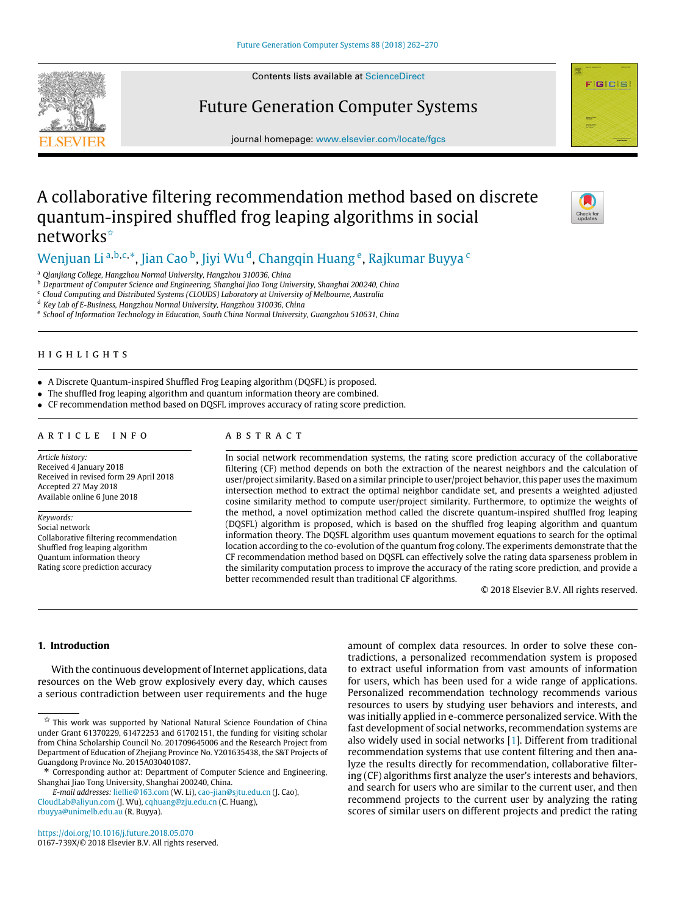Contents lists available at [ScienceDirect](http://www.elsevier.com/locate/fgcs)



Future Generation Computer Systems





# A collaborative filtering recommendation method based on discrete quantum-inspired shuffled frog leaping algorithms in social networks[✩](#page-0-0)

[Wenjuan](#page-8-0) [Li](#page-8-0) <sup>[a,](#page-0-1)[b,](#page-0-2)[c,](#page-0-3)</sup>[\\*](#page-0-4), [Jian](#page-8-1) [Cao](#page-8-1) <sup>[b](#page-0-2)</sup>, [Jiyi](#page-8-2) [Wu](#page-8-2) <sup>[d](#page-0-5)</sup>, [Changqin](#page-8-3) [Huang](#page-8-3) <sup>[e](#page-0-6)</sup>, [Rajkumar](#page-8-4) [Buyya](#page-8-4) <sup>[c](#page-0-3)</sup>

<span id="page-0-1"></span><sup>a</sup> *Qianjiang College, Hangzhou Normal University, Hangzhou 310036, China*

<span id="page-0-2"></span><sup>b</sup> *Department of Computer Science and Engineering, Shanghai Jiao Tong University, Shanghai 200240, China*

<span id="page-0-3"></span><sup>c</sup> *Cloud Computing and Distributed Systems (CLOUDS) Laboratory at University of Melbourne, Australia*

<span id="page-0-5"></span><sup>d</sup> *Key Lab of E-Business, Hangzhou Normal University, Hangzhou 310036, China*

<span id="page-0-6"></span>e *School of Information Technology in Education, South China Normal University, Guangzhou 510631, China*

## h i g h l i g h t s

- A Discrete Quantum-inspired Shuffled Frog Leaping algorithm (DQSFL) is proposed.
- The shuffled frog leaping algorithm and quantum information theory are combined.
- CF recommendation method based on DQSFL improves accuracy of rating score prediction.

## a r t i c l e i n f o

*Article history:* Received 4 January 2018 Received in revised form 29 April 2018 Accepted 27 May 2018 Available online 6 June 2018

*Keywords:* Social network Collaborative filtering recommendation Shuffled frog leaping algorithm Quantum information theory Rating score prediction accuracy

# A B S T R A C T

In social network recommendation systems, the rating score prediction accuracy of the collaborative filtering (CF) method depends on both the extraction of the nearest neighbors and the calculation of user/project similarity. Based on a similar principle to user/project behavior, this paper uses the maximum intersection method to extract the optimal neighbor candidate set, and presents a weighted adjusted cosine similarity method to compute user/project similarity. Furthermore, to optimize the weights of the method, a novel optimization method called the discrete quantum-inspired shuffled frog leaping (DQSFL) algorithm is proposed, which is based on the shuffled frog leaping algorithm and quantum information theory. The DQSFL algorithm uses quantum movement equations to search for the optimal location according to the co-evolution of the quantum frog colony. The experiments demonstrate that the CF recommendation method based on DQSFL can effectively solve the rating data sparseness problem in the similarity computation process to improve the accuracy of the rating score prediction, and provide a better recommended result than traditional CF algorithms.

© 2018 Elsevier B.V. All rights reserved.

## **1. Introduction**

With the continuous development of Internet applications, data resources on the Web grow explosively every day, which causes a serious contradiction between user requirements and the huge

*E-mail addresses:* [liellie@163.com](mailto:liellie@163.com) (W. Li), [cao-jian@sjtu.edu.cn](mailto:cao-jian@sjtu.edu.cn) (J. Cao), [CloudLab@aliyun.com](mailto:CloudLab@aliyun.com) (J. Wu), [cqhuang@zju.edu.cn](mailto:cqhuang@zju.edu.cn) (C. Huang), [rbuyya@unimelb.edu.au](mailto:rbuyya@unimelb.edu.au) (R. Buyya).

amount of complex data resources. In order to solve these contradictions, a personalized recommendation system is proposed to extract useful information from vast amounts of information for users, which has been used for a wide range of applications. Personalized recommendation technology recommends various resources to users by studying user behaviors and interests, and was initially applied in e-commerce personalized service. With the fast development of social networks, recommendation systems are also widely used in social networks [\[1\]](#page-7-0). Different from traditional recommendation systems that use content filtering and then analyze the results directly for recommendation, collaborative filtering (CF) algorithms first analyze the user's interests and behaviors, and search for users who are similar to the current user, and then recommend projects to the current user by analyzing the rating scores of similar users on different projects and predict the rating

<span id="page-0-0"></span> $\overrightarrow{x}$  This work was supported by National Natural Science Foundation of China under Grant 61370229, 61472253 and 61702151, the funding for visiting scholar from China Scholarship Council No. 201709645006 and the Research Project from Department of Education of Zhejiang Province No. Y201635438, the S&T Projects of Guangdong Province No. 2015A030401087.

<span id="page-0-4"></span><sup>\*</sup> Corresponding author at: Department of Computer Science and Engineering, Shanghai Jiao Tong University, Shanghai 200240, China.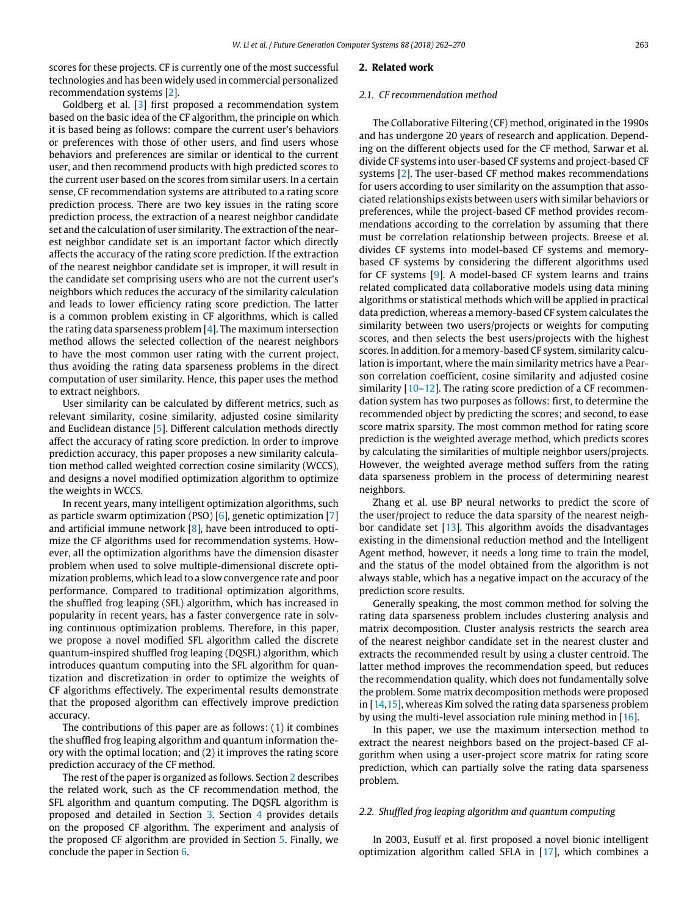scores for these projects. CF is currently one of the most successful technologies and has been widely used in commercial personalized recommendation systems [\[2\]](#page-7-1).

Goldberg et al. [\[3\]](#page-7-2) first proposed a recommendation system based on the basic idea of the CF algorithm, the principle on which it is based being as follows: compare the current user's behaviors or preferences with those of other users, and find users whose behaviors and preferences are similar or identical to the current user, and then recommend products with high predicted scores to the current user based on the scores from similar users. In a certain sense, CF recommendation systems are attributed to a rating score prediction process. There are two key issues in the rating score prediction process, the extraction of a nearest neighbor candidate set and the calculation of user similarity. The extraction of the nearest neighbor candidate set is an important factor which directly affects the accuracy of the rating score prediction. If the extraction of the nearest neighbor candidate set is improper, it will result in the candidate set comprising users who are not the current user's neighbors which reduces the accuracy of the similarity calculation and leads to lower efficiency rating score prediction. The latter is a common problem existing in CF algorithms, which is called the rating data sparseness problem [\[4\]](#page-7-3). The maximum intersection method allows the selected collection of the nearest neighbors to have the most common user rating with the current project, thus avoiding the rating data sparseness problems in the direct computation of user similarity. Hence, this paper uses the method to extract neighbors.

User similarity can be calculated by different metrics, such as relevant similarity, cosine similarity, adjusted cosine similarity and Euclidean distance [\[5\]](#page-7-4). Different calculation methods directly affect the accuracy of rating score prediction. In order to improve prediction accuracy, this paper proposes a new similarity calculation method called weighted correction cosine similarity (WCCS), and designs a novel modified optimization algorithm to optimize the weights in WCCS.

In recent years, many intelligent optimization algorithms, such as particle swarm optimization (PSO) [\[6\]](#page-7-5), genetic optimization [\[7\]](#page-7-6) and artificial immune network [\[8\]](#page-7-7), have been introduced to optimize the CF algorithms used for recommendation systems. However, all the optimization algorithms have the dimension disaster problem when used to solve multiple-dimensional discrete optimization problems, which lead to a slow convergence rate and poor performance. Compared to traditional optimization algorithms, the shuffled frog leaping (SFL) algorithm, which has increased in popularity in recent years, has a faster convergence rate in solving continuous optimization problems. Therefore, in this paper, we propose a novel modified SFL algorithm called the discrete quantum-inspired shuffled frog leaping (DQSFL) algorithm, which introduces quantum computing into the SFL algorithm for quantization and discretization in order to optimize the weights of CF algorithms effectively. The experimental results demonstrate that the proposed algorithm can effectively improve prediction accuracy.

The contributions of this paper are as follows: (1) it combines the shuffled frog leaping algorithm and quantum information theory with the optimal location; and (2) it improves the rating score prediction accuracy of the CF method.

<span id="page-1-0"></span>The rest of the paper is organized as follows. Section [2](#page-1-0) describes the related work, such as the CF recommendation method, the SFL algorithm and quantum computing. The DQSFL algorithm is proposed and detailed in Section [3.](#page-2-0) Section [4](#page-3-0) provides details on the proposed CF algorithm. The experiment and analysis of the proposed CF algorithm are provided in Section [5.](#page-4-0) Finally, we conclude the paper in Section [6.](#page-7-8)

#### **2. Related work**

#### *2.1. CF recommendation method*

The Collaborative Filtering (CF) method, originated in the 1990s and has undergone 20 years of research and application. Depending on the different objects used for the CF method, Sarwar et al. divide CF systems into user-based CF systems and project-based CF systems [\[2\]](#page-7-1). The user-based CF method makes recommendations for users according to user similarity on the assumption that associated relationships exists between users with similar behaviors or preferences, while the project-based CF method provides recommendations according to the correlation by assuming that there must be correlation relationship between projects. Breese et al. divides CF systems into model-based CF systems and memorybased CF systems by considering the different algorithms used for CF systems [\[9\]](#page-7-9). A model-based CF system learns and trains related complicated data collaborative models using data mining algorithms or statistical methods which will be applied in practical data prediction, whereas a memory-based CF system calculates the similarity between two users/projects or weights for computing scores, and then selects the best users/projects with the highest scores. In addition, for a memory-based CF system, similarity calculation is important, where the main similarity metrics have a Pearson correlation coefficient, cosine similarity and adjusted cosine similarity [\[10–](#page-8-5)[12\]](#page-8-6). The rating score prediction of a CF recommendation system has two purposes as follows: first, to determine the recommended object by predicting the scores; and second, to ease score matrix sparsity. The most common method for rating score prediction is the weighted average method, which predicts scores by calculating the similarities of multiple neighbor users/projects. However, the weighted average method suffers from the rating data sparseness problem in the process of determining nearest neighbors.

Zhang et al. use BP neural networks to predict the score of the user/project to reduce the data sparsity of the nearest neighbor candidate set  $[13]$ . This algorithm avoids the disadvantages existing in the dimensional reduction method and the Intelligent Agent method, however, it needs a long time to train the model, and the status of the model obtained from the algorithm is not always stable, which has a negative impact on the accuracy of the prediction score results.

Generally speaking, the most common method for solving the rating data sparseness problem includes clustering analysis and matrix decomposition. Cluster analysis restricts the search area of the nearest neighbor candidate set in the nearest cluster and extracts the recommended result by using a cluster centroid. The latter method improves the recommendation speed, but reduces the recommendation quality, which does not fundamentally solve the problem. Some matrix decomposition methods were proposed in [\[14](#page-8-8)[,15\]](#page-8-9), whereas Kim solved the rating data sparseness problem by using the multi-level association rule mining method in [\[16\]](#page-8-10).

In this paper, we use the maximum intersection method to extract the nearest neighbors based on the project-based CF algorithm when using a user-project score matrix for rating score prediction, which can partially solve the rating data sparseness problem.

## *2.2. Shuffled frog leaping algorithm and quantum computing*

In 2003, Eusuff et al. first proposed a novel bionic intelligent optimization algorithm called SFLA in [\[17\]](#page-8-11), which combines a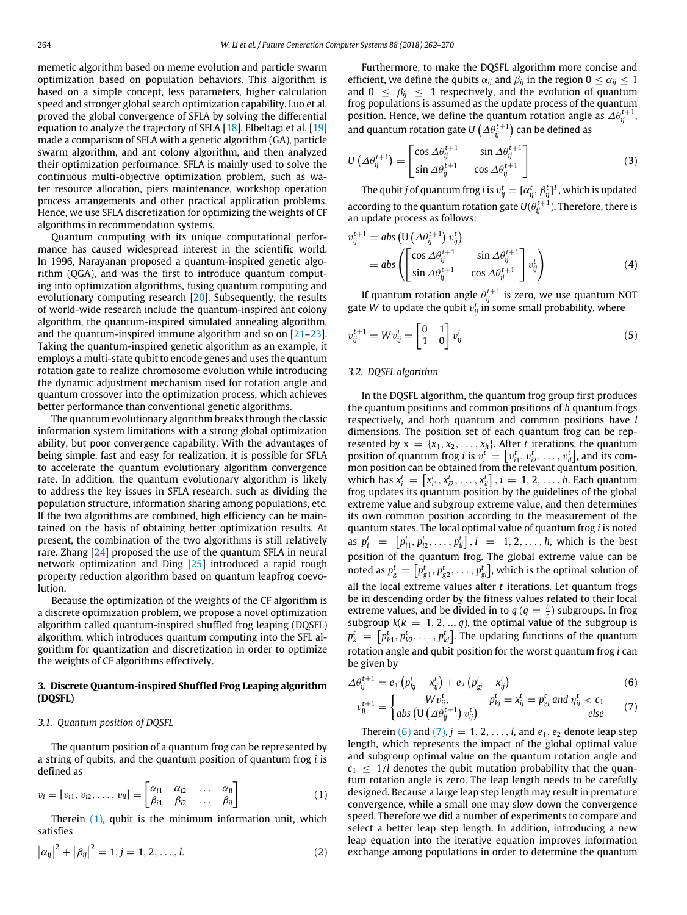memetic algorithm based on meme evolution and particle swarm optimization based on population behaviors. This algorithm is based on a simple concept, less parameters, higher calculation speed and stronger global search optimization capability. Luo et al. proved the global convergence of SFLA by solving the differential equation to analyze the trajectory of SFLA [\[18\]](#page-8-12). Elbeltagi et al. [\[19\]](#page-8-13) made a comparison of SFLA with a genetic algorithm (GA), particle swarm algorithm, and ant colony algorithm, and then analyzed their optimization performance. SFLA is mainly used to solve the continuous multi-objective optimization problem, such as water resource allocation, piers maintenance, workshop operation process arrangements and other practical application problems. Hence, we use SFLA discretization for optimizing the weights of CF algorithms in recommendation systems.

Quantum computing with its unique computational performance has caused widespread interest in the scientific world. In 1996, Narayanan proposed a quantum-inspired genetic algorithm (QGA), and was the first to introduce quantum computing into optimization algorithms, fusing quantum computing and evolutionary computing research [\[20\]](#page-8-14). Subsequently, the results of world-wide research include the quantum-inspired ant colony algorithm, the quantum-inspired simulated annealing algorithm, and the quantum-inspired immune algorithm and so on [\[21](#page-8-15)[–23\]](#page-8-16). Taking the quantum-inspired genetic algorithm as an example, it employs a multi-state qubit to encode genes and uses the quantum rotation gate to realize chromosome evolution while introducing the dynamic adjustment mechanism used for rotation angle and quantum crossover into the optimization process, which achieves better performance than conventional genetic algorithms.

The quantum evolutionary algorithm breaks through the classic information system limitations with a strong global optimization ability, but poor convergence capability. With the advantages of being simple, fast and easy for realization, it is possible for SFLA to accelerate the quantum evolutionary algorithm convergence rate. In addition, the quantum evolutionary algorithm is likely to address the key issues in SFLA research, such as dividing the population structure, information sharing among populations, etc. If the two algorithms are combined, high efficiency can be maintained on the basis of obtaining better optimization results. At present, the combination of the two algorithms is still relatively rare. Zhang [\[24\]](#page-8-17) proposed the use of the quantum SFLA in neural network optimization and Ding [\[25\]](#page-8-18) introduced a rapid rough property reduction algorithm based on quantum leapfrog coevolution.

Because the optimization of the weights of the CF algorithm is a discrete optimization problem, we propose a novel optimization algorithm called quantum-inspired shuffled frog leaping (DQSFL) algorithm, which introduces quantum computing into the SFL algorithm for quantization and discretization in order to optimize the weights of CF algorithms effectively.

# <span id="page-2-0"></span>**3. Discrete Quantum-inspired Shuffled Frog Leaping algorithm (DQSFL)**

## *3.1. Quantum position of DQSFL*

The quantum position of a quantum frog can be represented by a string of qubits, and the quantum position of quantum frog *i* is defined as

<span id="page-2-1"></span>
$$
v_i = [v_{i1}, v_{i2}, \dots, v_{il}] = \begin{bmatrix} \alpha_{i1} & \alpha_{i2} & \dots & \alpha_{il} \\ \beta_{i1} & \beta_{i2} & \dots & \beta_{il} \end{bmatrix}
$$
 (1)

Therein [\(1\),](#page-2-1) qubit is the minimum information unit, which satisfies

$$
|\alpha_{ij}|^2 + |\beta_{ij}|^2 = 1, j = 1, 2, ..., l.
$$
 (2)

Furthermore, to make the DQSFL algorithm more concise and efficient, we define the qubits  $\alpha_{ij}$  and  $\beta_{ij}$  in the region  $0 \leq \alpha_{ij} \leq 1$ and  $0 \leq \beta_{ij} \leq 1$  respectively, and the evolution of quantum frog populations is assumed as the update process of the quantum position. Hence, we define the quantum rotation angle as  $\Delta \theta_{ij}^{t+1}$ , and quantum rotation gate  $U\left( \varDelta \theta_{ij}^{t+1} \right)$  can be defined as

$$
U\left(\Delta \theta_{ij}^{t+1}\right) = \begin{bmatrix} \cos \Delta \theta_{ij}^{t+1} & -\sin \Delta \theta_{ij}^{t+1} \\ \sin \Delta \theta_{ij}^{t+1} & \cos \Delta \theta_{ij}^{t+1} \end{bmatrix}
$$
(3)

The qubit  $j$  of quantum frog  $i$  is  $v_{ij}^t = [\alpha_{ij}^t, \beta_{ij}^t]^T$ , which is updated according to the quantum rotation gate  $U(\theta_{ij}^{t+1})$ . Therefore, there is an update process as follows:

$$
v_{ij}^{t+1} = abs \left( U \left( \Delta \theta_{ij}^{t+1} \right) v_{ij}^t \right)
$$
  
=  $abs \left( \begin{bmatrix} cos \Delta \theta_{ij}^{t+1} & -sin \Delta \theta_{ij}^{t+1} \\ sin \Delta \theta_{ij}^{t+1} & cos \Delta \theta_{ij}^{t+1} \end{bmatrix} v_{ij}^t \right)$  (4)

If quantum rotation angle  $\theta_{ij}^{t+1}$  is zero, we use quantum NOT gate *W* to update the qubit  $v_{ij}^t$  in some small probability, where

$$
v_{ij}^{t+1} = Wv_{ij}^t = \begin{bmatrix} 0 & 1 \\ 1 & 0 \end{bmatrix} v_{ij}^t \tag{5}
$$

## *3.2. DQSFL algorithm*

In the DQSFL algorithm, the quantum frog group first produces the quantum positions and common positions of *h* quantum frogs respectively, and both quantum and common positions have *l* dimensions. The position set of each quantum frog can be represented by  $x = \{x_1, x_2, \ldots, x_h\}$ . After *t* iterations, the quantum position of quantum frog *i* is  $v_i^t = \left[v_{i1}^t, v_{i2}^t, \dots, v_{i_l}^t\right]$ , and its common position can be obtained from the relevant quantum position, which has  $x_i^t = [x_{i1}^t, x_{i2}^t, ..., x_{i_l}^t], i = 1, 2, ..., h$ . Each quantum frog updates its quantum position by the guidelines of the global extreme value and subgroup extreme value, and then determines its own common position according to the measurement of the quantum states. The local optimal value of quantum frog *i* is noted as  $p_i^t = [p_{i1}^t, p_{i2}^t, \dots, p_{i_l}^t], i = 1, 2, \dots, h$ , which is the best position of the quantum frog. The global extreme value can be noted as  $p_g^t = [p_{g1}^t, p_{g2}^t, \dots, p_{gl}^t]$ , which is the optimal solution of all the local extreme values after *t* iterations. Let quantum frogs be in descending order by the fitness values related to their local extreme values, and be divided in to  $q$  ( $q = \frac{h}{r}$ ) subgroups. In frog subgroup  $k(k = 1, 2, ..., q)$ , the optimal value of the subgroup is  $p^t_k = \left[p^t_{k1}, p^t_{k2}, \ldots, p^t_{kl}\right]$ . The updating functions of the quantum rotation angle and qubit position for the worst quantum frog *i* can be given by

<span id="page-2-2"></span>
$$
\Delta \theta_{ij}^{t+1} = e_1 \left( p_{kj}^t - x_{ij}^t \right) + e_2 \left( p_{gj}^t - x_{ij}^t \right) \tag{6}
$$

<span id="page-2-3"></span>
$$
v_{ij}^{t+1} = \begin{cases} Wv_{ij}^t, & p_{kj}^t = x_{ij}^t = p_{jj}^t \text{ and } \eta_{ij}^t < c_1\\ abs\left(U\left(\Delta\theta_{ij}^{t+1}\right)v_{ij}^t\right) & else \end{cases} \tag{7}
$$

Therein [\(6\)](#page-2-2) and [\(7\),](#page-2-3)  $j = 1, 2, ..., l$ , and  $e_1, e_2$  denote leap step length, which represents the impact of the global optimal value and subgroup optimal value on the quantum rotation angle and  $c_1$  < 1/*l* denotes the qubit mutation probability that the quantum rotation angle is zero. The leap length needs to be carefully designed. Because a large leap step length may result in premature convergence, while a small one may slow down the convergence speed. Therefore we did a number of experiments to compare and select a better leap step length. In addition, introducing a new leap equation into the iterative equation improves information exchange among populations in order to determine the quantum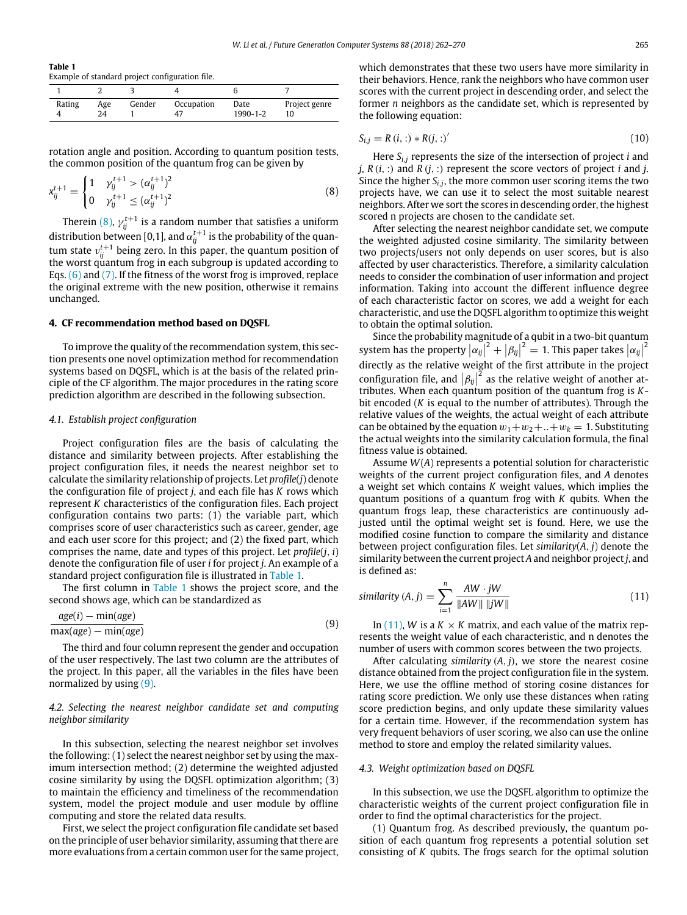<span id="page-3-2"></span>**Table 1** Example of standard project configuration file.

| Rating | Age | Gender | Occupation | Date<br>$1990 - 1 - 2$ | Project genre<br>10 |
|--------|-----|--------|------------|------------------------|---------------------|

rotation angle and position. According to quantum position tests, the common position of the quantum frog can be given by

<span id="page-3-1"></span>
$$
x_{ij}^{t+1} = \begin{cases} 1 & \gamma_{ij}^{t+1} > (\alpha_{ij}^{t+1})^2 \\ 0 & \gamma_{ij}^{t+1} \le (\alpha_{ij}^{t+1})^2 \end{cases}
$$
(8)

Therein [\(8\),](#page-3-1)  $\gamma^{t+1}_{ij}$  is a random number that satisfies a uniform distribution between [0,1], and  $\alpha^{t+1}_{ij}$  is the probability of the quantum state  $v_{ij}^{t+1}$  being zero. In this paper, the quantum position of the worst quantum frog in each subgroup is updated according to Eqs. [\(6\)](#page-2-2) and [\(7\).](#page-2-3) If the fitness of the worst frog is improved, replace the original extreme with the new position, otherwise it remains unchanged.

## <span id="page-3-0"></span>**4. CF recommendation method based on DQSFL**

To improve the quality of the recommendation system, this section presents one novel optimization method for recommendation systems based on DQSFL, which is at the basis of the related principle of the CF algorithm. The major procedures in the rating score prediction algorithm are described in the following subsection.

#### *4.1. Establish project configuration*

Project configuration files are the basis of calculating the distance and similarity between projects. After establishing the project configuration files, it needs the nearest neighbor set to calculate the similarity relationship of projects. Let *profile*(*j*) denote the configuration file of project *j*, and each file has *K* rows which represent *K* characteristics of the configuration files. Each project configuration contains two parts: (1) the variable part, which comprises score of user characteristics such as career, gender, age and each user score for this project; and (2) the fixed part, which comprises the name, date and types of this project. Let *profile*(*j*, *i*) denote the configuration file of user *i* for project *j*. An example of a standard project configuration file is illustrated in [Table 1.](#page-3-2)

The first column in [Table 1](#page-3-2) shows the project score, and the second shows age, which can be standardized as

<span id="page-3-3"></span>
$$
\frac{age(i) - \min(age)}{\max(age) - \min(age)}\tag{9}
$$

The third and four column represent the gender and occupation of the user respectively. The last two column are the attributes of the project. In this paper, all the variables in the files have been normalized by using [\(9\).](#page-3-3)

## *4.2. Selecting the nearest neighbor candidate set and computing neighbor similarity*

In this subsection, selecting the nearest neighbor set involves the following: (1) select the nearest neighbor set by using the maximum intersection method; (2) determine the weighted adjusted cosine similarity by using the DQSFL optimization algorithm; (3) to maintain the efficiency and timeliness of the recommendation system, model the project module and user module by offline computing and store the related data results.

First, we select the project configuration file candidate set based on the principle of user behavior similarity, assuming that there are more evaluations from a certain common user for the same project, which demonstrates that these two users have more similarity in their behaviors. Hence, rank the neighbors who have common user scores with the current project in descending order, and select the former *n* neighbors as the candidate set, which is represented by the following equation:

$$
S_{i,j} = R(i,:)*R(j,:)'
$$
 (10)

Here *Si*,*<sup>j</sup>* represents the size of the intersection of project *i* and  $j$ ,  $R(i, :)$  and  $R(j, :)$  represent the score vectors of project *i* and *j*. Since the higher *Si*,*<sup>j</sup>* , the more common user scoring items the two projects have, we can use it to select the most suitable nearest neighbors. After we sort the scores in descending order, the highest scored n projects are chosen to the candidate set.

After selecting the nearest neighbor candidate set, we compute the weighted adjusted cosine similarity. The similarity between two projects/users not only depends on user scores, but is also affected by user characteristics. Therefore, a similarity calculation needs to consider the combination of user information and project information. Taking into account the different influence degree of each characteristic factor on scores, we add a weight for each characteristic, and use the DQSFL algorithm to optimize this weight to obtain the optimal solution.

Since the probability magnitude of a qubit in a two-bit quantum system has the property  $|\alpha_{ij}|^2 + |\beta_{ij}|^2 = 1$ . This paper takes  $|\alpha_{ij}|^2$ directly as the relative weight of the first attribute in the project configuration file, and  $|\beta_{ij}|^2$  as the relative weight of another attributes. When each quantum position of the quantum frog is *K*bit encoded (*K* is equal to the number of attributes). Through the relative values of the weights, the actual weight of each attribute can be obtained by the equation  $w_1+w_2+\ldots+w_k=1$ . Substituting the actual weights into the similarity calculation formula, the final fitness value is obtained.

Assume *W*(*A*) represents a potential solution for characteristic weights of the current project configuration files, and *A* denotes a weight set which contains *K* weight values, which implies the quantum positions of a quantum frog with *K* qubits. When the quantum frogs leap, these characteristics are continuously adjusted until the optimal weight set is found. Here, we use the modified cosine function to compare the similarity and distance between project configuration files. Let *similarity*(*A*, *j*) denote the similarity between the current project *A* and neighbor project*j*, and is defined as:

<span id="page-3-4"></span>
$$
similarity (A, j) = \sum_{i=1}^{n} \frac{AW \cdot jW}{\|AW\| \|jW\|}
$$
 (11)

In [\(11\),](#page-3-4) *W* is a  $K \times K$  matrix, and each value of the matrix represents the weight value of each characteristic, and n denotes the number of users with common scores between the two projects.

After calculating *similarity* (*A*, *j*), we store the nearest cosine distance obtained from the project configuration file in the system. Here, we use the offline method of storing cosine distances for rating score prediction. We only use these distances when rating score prediction begins, and only update these similarity values for a certain time. However, if the recommendation system has very frequent behaviors of user scoring, we also can use the online method to store and employ the related similarity values.

#### *4.3. Weight optimization based on DQSFL*

In this subsection, we use the DQSFL algorithm to optimize the characteristic weights of the current project configuration file in order to find the optimal characteristics for the project.

(1) Quantum frog. As described previously, the quantum position of each quantum frog represents a potential solution set consisting of *K* qubits. The frogs search for the optimal solution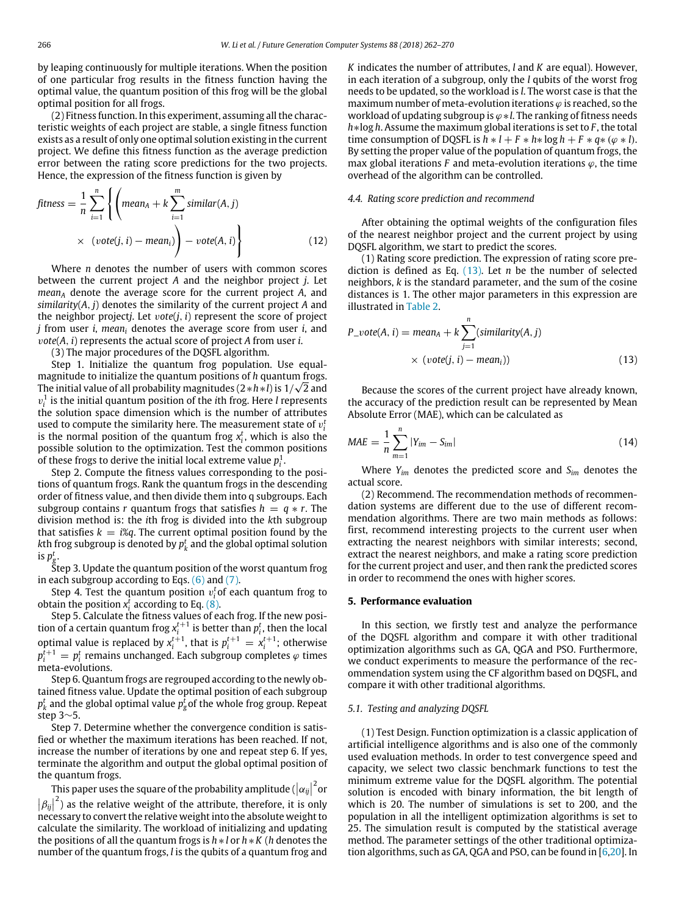by leaping continuously for multiple iterations. When the position of one particular frog results in the fitness function having the optimal value, the quantum position of this frog will be the global optimal position for all frogs.

(2) Fitness function. In this experiment, assuming all the characteristic weights of each project are stable, a single fitness function exists as a result of only one optimal solution existing in the current project. We define this fitness function as the average prediction error between the rating score predictions for the two projects. Hence, the expression of the fitness function is given by

$$
fitness = \frac{1}{n} \sum_{i=1}^{n} \left\{ \left( \text{mean}_A + k \sum_{i=1}^{m} \text{similar}(A, j) \times (\text{vote}(j, i) - \text{mean}_i) \right) - \text{vote}(A, i) \right\}
$$
(12)

Where *n* denotes the number of users with common scores between the current project *A* and the neighbor project *j*. Let *mean<sup>A</sup>* denote the average score for the current project *A*, and *similarity*(*A*, *j*) denotes the similarity of the current project *A* and the neighbor project*j*. Let v*ote*(*j*, *i*) represent the score of project *j* from user *i*, *mean<sup>i</sup>* denotes the average score from user *i*, and v*ote*(*A*, *i*) represents the actual score of project *A* from user *i*.

(3) The major procedures of the DQSFL algorithm.

Step 1. Initialize the quantum frog population. Use equalmagnitude to initialize the quantum positions of *h* quantum frogs. √ The initial value of all probability magnitudes (2∗*h*∗*l*) is 1/ 2 and  $v_i^1$  is the initial quantum position of the *i*th frog. Here *l* represents the solution space dimension which is the number of attributes used to compute the similarity here. The measurement state of  $v_i^t$ is the normal position of the quantum frog  $x_i^t$ , which is also the possible solution to the optimization. Test the common positions of these frogs to derive the initial local extreme value  $p_i^1$ .

Step 2. Compute the fitness values corresponding to the positions of quantum frogs. Rank the quantum frogs in the descending order of fitness value, and then divide them into q subgroups. Each subgroup contains *r* quantum frogs that satisfies  $h = q * r$ . The division method is: the *i*th frog is divided into the *k*th subgroup that satisfies  $k = i\%q$ . The current optimal position found by the  $k$ th frog subgroup is denoted by  $p_k^t$  and the global optimal solution is  $p_{g}^{t}$ .

Step 3. Update the quantum position of the worst quantum frog in each subgroup according to Eqs.  $(6)$  and  $(7)$ .

Step 4. Test the quantum position  $v_i^t$ of each quantum frog to obtain the position  $x_i^t$  according to Eq. [\(8\).](#page-3-1)

Step 5. Calculate the fitness values of each frog. If the new position of a certain quantum frog  $x_i^{t+1}$  is better than  $p_i^t$ , then the local optimal value is replaced by  $x_i^{t+1}$ , that is  $p_i^{t+1} = x_i^{t+1}$ ; otherwise  $p_i^{t+1} = p_i^t$  remains unchanged. Each subgroup completes  $\varphi$  times meta-evolutions.

Step 6. Quantum frogs are regrouped according to the newly obtained fitness value. Update the optimal position of each subgroup  $p^t_k$  and the global optimal value  $p^t_{\mathrm{g}}$  of the whole frog group. Repeat step 3∼5.

Step 7. Determine whether the convergence condition is satisfied or whether the maximum iterations has been reached. If not, increase the number of iterations by one and repeat step 6. If yes, terminate the algorithm and output the global optimal position of the quantum frogs.

This paper uses the square of the probability amplitude ( $|\alpha_{ij}|^2$  or  $|\beta_{ij}|^2$ ) as the relative weight of the attribute, therefore, it is only necessary to convert the relative weight into the absolute weight to calculate the similarity. The workload of initializing and updating the positions of all the quantum frogs is *h* ∗ *l* or *h* ∗*K* (*h* denotes the number of the quantum frogs, *l* is the qubits of a quantum frog and *K* indicates the number of attributes, *l* and *K* are equal). However, in each iteration of a subgroup, only the *l* qubits of the worst frog needs to be updated, so the workload is *l*. The worst case is that the maximum number of meta-evolution iterations  $\varphi$  is reached, so the workload of updating subgroup is ϕ∗*l*. The ranking of fitness needs *h*∗log *h*. Assume the maximum global iterations is set to *F* , the total time consumption of DQSFL is  $h * l + F * h * log h + F * q * (\varphi * l)$ . By setting the proper value of the population of quantum frogs, the max global iterations  $F$  and meta-evolution iterations  $\varphi$ , the time overhead of the algorithm can be controlled.

#### *4.4. Rating score prediction and recommend*

After obtaining the optimal weights of the configuration files of the nearest neighbor project and the current project by using DQSFL algorithm, we start to predict the scores.

(1) Rating score prediction. The expression of rating score prediction is defined as Eq. [\(13\).](#page-4-1) Let *n* be the number of selected neighbors, *k* is the standard parameter, and the sum of the cosine distances is 1. The other major parameters in this expression are illustrated in [Table 2.](#page-5-0)

<span id="page-4-1"></span>
$$
P\_vote(A, i) = mean_A + k \sum_{j=1}^{n} (similarity(A, j)
$$
  
× (vote(j, i) – mean<sub>i</sub>)) (13)

Because the scores of the current project have already known, the accuracy of the prediction result can be represented by Mean Absolute Error (MAE), which can be calculated as

<span id="page-4-2"></span>
$$
MAE = \frac{1}{n} \sum_{m=1}^{n} |Y_{im} - S_{im}|
$$
\n(14)

Where *Yim* denotes the predicted score and *Sim* denotes the actual score.

(2) Recommend. The recommendation methods of recommendation systems are different due to the use of different recommendation algorithms. There are two main methods as follows: first, recommend interesting projects to the current user when extracting the nearest neighbors with similar interests; second, extract the nearest neighbors, and make a rating score prediction for the current project and user, and then rank the predicted scores in order to recommend the ones with higher scores.

## <span id="page-4-0"></span>**5. Performance evaluation**

In this section, we firstly test and analyze the performance of the DQSFL algorithm and compare it with other traditional optimization algorithms such as GA, QGA and PSO. Furthermore, we conduct experiments to measure the performance of the recommendation system using the CF algorithm based on DQSFL, and compare it with other traditional algorithms.

#### *5.1. Testing and analyzing DQSFL*

(1) Test Design. Function optimization is a classic application of artificial intelligence algorithms and is also one of the commonly used evaluation methods. In order to test convergence speed and capacity, we select two classic benchmark functions to test the minimum extreme value for the DQSFL algorithm. The potential solution is encoded with binary information, the bit length of which is 20. The number of simulations is set to 200, and the population in all the intelligent optimization algorithms is set to 25. The simulation result is computed by the statistical average method. The parameter settings of the other traditional optimization algorithms, such as GA, QGA and PSO, can be found in [\[6](#page-7-5)[,20\]](#page-8-14). In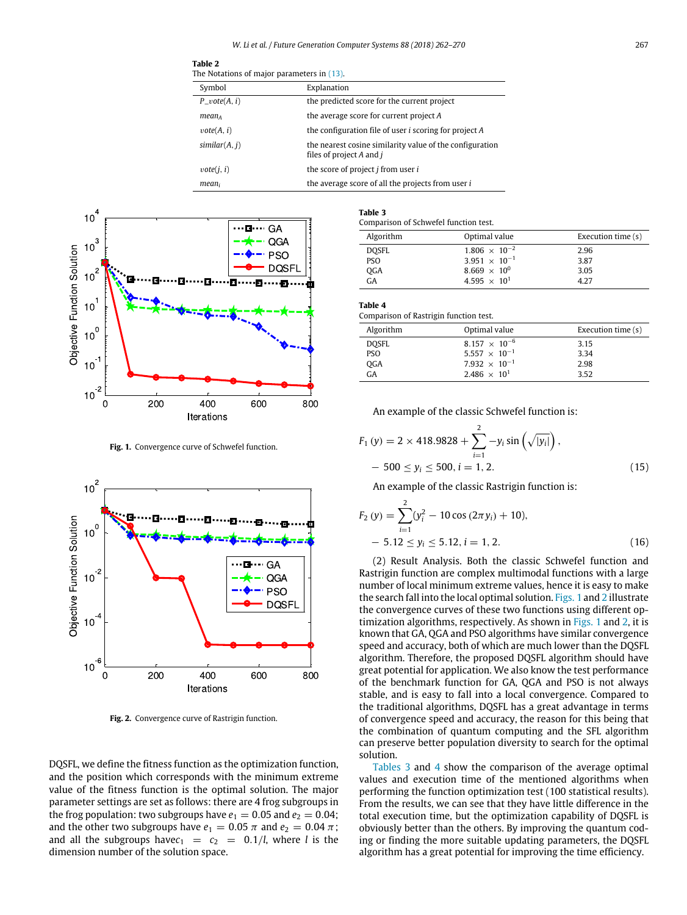<span id="page-5-0"></span>

| Table 2<br>The Notations of major parameters in (13). |                                                                                      |  |  |
|-------------------------------------------------------|--------------------------------------------------------------------------------------|--|--|
| Symbol                                                | Explanation                                                                          |  |  |
| $P_{vote}(A, i)$                                      | the predicted score for the current project                                          |  |  |
| mean <sub>A</sub>                                     | the average score for current project A                                              |  |  |
| vote(A, i)                                            | the configuration file of user <i>i</i> scoring for project A                        |  |  |
| similar(A, j)                                         | the nearest cosine similarity value of the configuration<br>files of project A and j |  |  |
| vote(i, i)                                            | the score of project <i>i</i> from user <i>i</i>                                     |  |  |
| mean <sub>i</sub>                                     | the average score of all the projects from user i                                    |  |  |

<span id="page-5-1"></span>

**Fig. 1.** Convergence curve of Schwefel function.

<span id="page-5-2"></span>

**Fig. 2.** Convergence curve of Rastrigin function.

DQSFL, we define the fitness function as the optimization function, and the position which corresponds with the minimum extreme value of the fitness function is the optimal solution. The major parameter settings are set as follows: there are 4 frog subgroups in the frog population: two subgroups have  $e_1 = 0.05$  and  $e_2 = 0.04$ ; and the other two subgroups have  $e_1 = 0.05 \pi$  and  $e_2 = 0.04 \pi$ ; and all the subgroups have $c_1 = c_2 = 0.1/l$ , where *l* is the dimension number of the solution space.

## <span id="page-5-3"></span>**Table 3**

Comparison of Schwefel function test.

| Algorithm    | Optimal value                  | Execution time (s) |  |
|--------------|--------------------------------|--------------------|--|
| <b>DOSFL</b> | $1.806 \times 10^{-2}$         | 2.96               |  |
| PSO.         | $3.951 \times 10^{-1}$         | 3.87               |  |
| <b>OGA</b>   | $8.669 \times 10^{0}$          | 3.05               |  |
| GA           | 4.595 $\times$ 10 <sup>1</sup> | 4.27               |  |

<span id="page-5-4"></span>**Table 4**

| Comparison of Rastrigin function test. |  |  |
|----------------------------------------|--|--|
|                                        |  |  |

| Algorithm    | Optimal value                  | Execution time (s) |
|--------------|--------------------------------|--------------------|
| <b>DOSFL</b> | $8.157 \times 10^{-6}$         | 3.15               |
| <b>PSO</b>   | $5.557 \times 10^{-1}$         | 3.34               |
| <b>OGA</b>   | $7.932 \times 10^{-1}$         | 2.98               |
| GA           | 2.486 $\times$ 10 <sup>1</sup> | 3.52               |

An example of the classic Schwefel function is:

$$
F_1(y) = 2 \times 418.9828 + \sum_{i=1}^{2} -y_i \sin\left(\sqrt{|y_i|}\right),
$$
  
- 500 \le y\_i \le 500, i = 1, 2. (15)

An example of the classic Rastrigin function is:

$$
F_2(y) = \sum_{i=1}^{2} (y_i^2 - 10 \cos (2\pi y_i) + 10),
$$
  
- 5.12 \le y\_i \le 5.12, i = 1, 2. (16)

(2) Result Analysis. Both the classic Schwefel function and Rastrigin function are complex multimodal functions with a large number of local minimum extreme values, hence it is easy to make the search fall into the local optimal solution. [Figs. 1](#page-5-1) and [2](#page-5-2) illustrate the convergence curves of these two functions using different optimization algorithms, respectively. As shown in [Figs. 1](#page-5-1) and [2,](#page-5-2) it is known that GA, QGA and PSO algorithms have similar convergence speed and accuracy, both of which are much lower than the DQSFL algorithm. Therefore, the proposed DQSFL algorithm should have great potential for application. We also know the test performance of the benchmark function for GA, QGA and PSO is not always stable, and is easy to fall into a local convergence. Compared to the traditional algorithms, DQSFL has a great advantage in terms of convergence speed and accuracy, the reason for this being that the combination of quantum computing and the SFL algorithm can preserve better population diversity to search for the optimal solution.

[Tables 3](#page-5-3) and [4](#page-5-4) show the comparison of the average optimal values and execution time of the mentioned algorithms when performing the function optimization test (100 statistical results). From the results, we can see that they have little difference in the total execution time, but the optimization capability of DQSFL is obviously better than the others. By improving the quantum coding or finding the more suitable updating parameters, the DQSFL algorithm has a great potential for improving the time efficiency.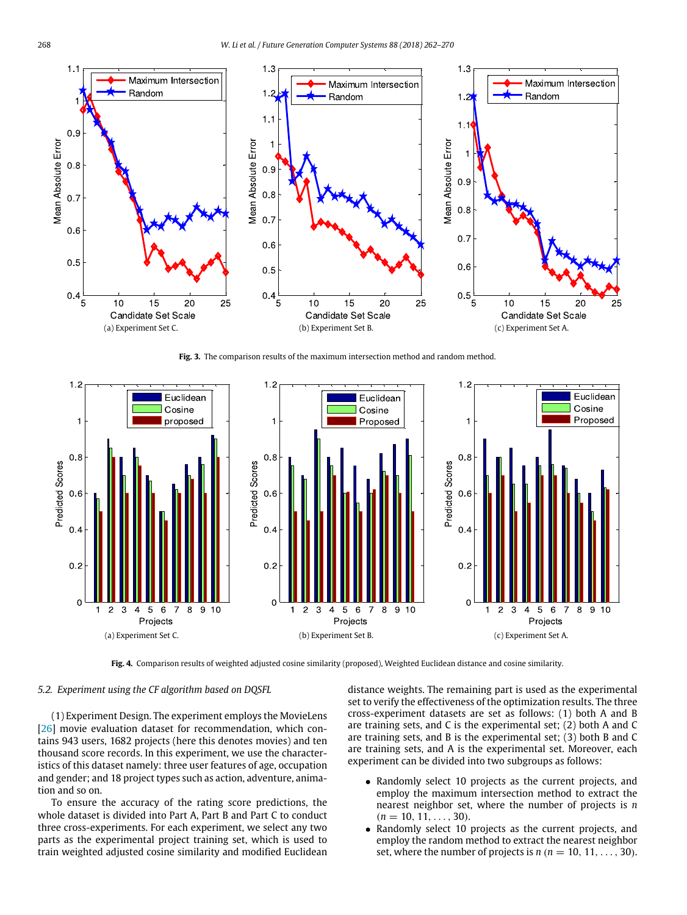<span id="page-6-0"></span>

Fig. 3. The comparison results of the maximum intersection method and random method.

<span id="page-6-1"></span>

**Fig. 4.** Comparison results of weighted adjusted cosine similarity (proposed), Weighted Euclidean distance and cosine similarity.

## *5.2. Experiment using the CF algorithm based on DQSFL*

(1) Experiment Design. The experiment employs the MovieLens [\[26\]](#page-8-19) movie evaluation dataset for recommendation, which contains 943 users, 1682 projects (here this denotes movies) and ten thousand score records. In this experiment, we use the characteristics of this dataset namely: three user features of age, occupation and gender; and 18 project types such as action, adventure, animation and so on.

To ensure the accuracy of the rating score predictions, the whole dataset is divided into Part A, Part B and Part C to conduct three cross-experiments. For each experiment, we select any two parts as the experimental project training set, which is used to train weighted adjusted cosine similarity and modified Euclidean distance weights. The remaining part is used as the experimental set to verify the effectiveness of the optimization results. The three cross-experiment datasets are set as follows: (1) both A and B are training sets, and C is the experimental set; (2) both A and C are training sets, and B is the experimental set; (3) both B and C are training sets, and A is the experimental set. Moreover, each experiment can be divided into two subgroups as follows:

- Randomly select 10 projects as the current projects, and employ the maximum intersection method to extract the nearest neighbor set, where the number of projects is *n*  $(n = 10, 11, \ldots, 30).$
- Randomly select 10 projects as the current projects, and employ the random method to extract the nearest neighbor set, where the number of projects is  $n (n = 10, 11, \ldots, 30)$ .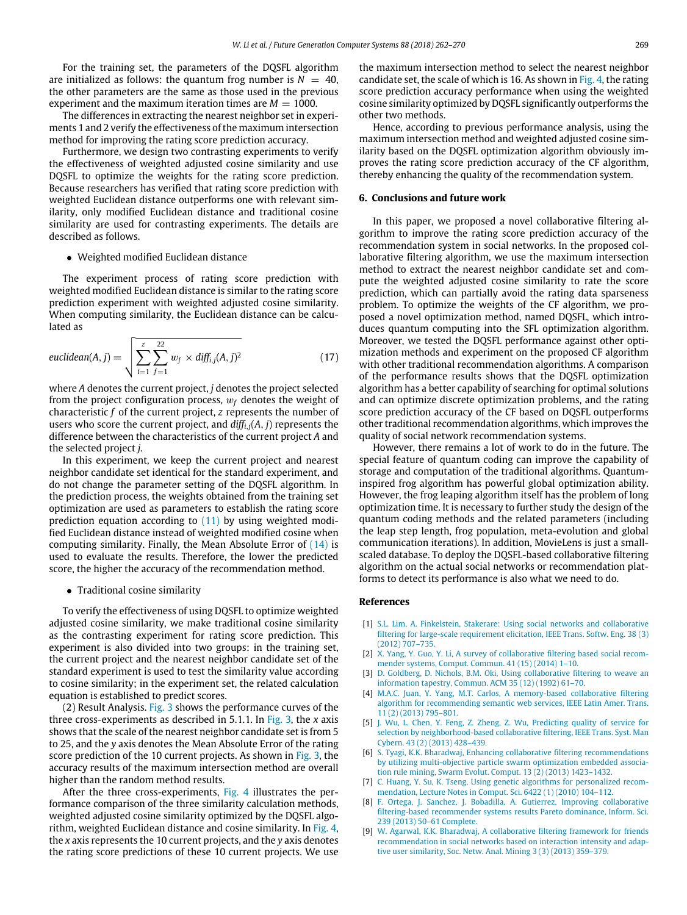For the training set, the parameters of the DQSFL algorithm are initialized as follows: the quantum frog number is  $N = 40$ , the other parameters are the same as those used in the previous experiment and the maximum iteration times are  $M = 1000$ .

The differences in extracting the nearest neighbor set in experiments 1 and 2 verify the effectiveness of the maximum intersection method for improving the rating score prediction accuracy.

Furthermore, we design two contrasting experiments to verify the effectiveness of weighted adjusted cosine similarity and use DQSFL to optimize the weights for the rating score prediction. Because researchers has verified that rating score prediction with weighted Euclidean distance outperforms one with relevant similarity, only modified Euclidean distance and traditional cosine similarity are used for contrasting experiments. The details are described as follows.

## • Weighted modified Euclidean distance

The experiment process of rating score prediction with weighted modified Euclidean distance is similar to the rating score prediction experiment with weighted adjusted cosine similarity. When computing similarity, the Euclidean distance can be calculated as

*euclidean(A, j)* = 
$$
\sqrt{\sum_{i=1}^{z} \sum_{f=1}^{22} w_f \times \text{diff}_{i,j}(A, j)^2}
$$
 (17)

where *A* denotes the current project, *j* denotes the project selected from the project configuration process,  $w_f$  denotes the weight of characteristic *f* of the current project, *z* represents the number of users who score the current project, and *diffi*,*j*(*A*, *j*) represents the difference between the characteristics of the current project *A* and the selected project *j*.

In this experiment, we keep the current project and nearest neighbor candidate set identical for the standard experiment, and do not change the parameter setting of the DQSFL algorithm. In the prediction process, the weights obtained from the training set optimization are used as parameters to establish the rating score prediction equation according to [\(11\)](#page-3-4) by using weighted modified Euclidean distance instead of weighted modified cosine when computing similarity. Finally, the Mean Absolute Error of [\(14\)](#page-4-2) is used to evaluate the results. Therefore, the lower the predicted score, the higher the accuracy of the recommendation method.

#### • Traditional cosine similarity

To verify the effectiveness of using DQSFL to optimize weighted adjusted cosine similarity, we make traditional cosine similarity as the contrasting experiment for rating score prediction. This experiment is also divided into two groups: in the training set, the current project and the nearest neighbor candidate set of the standard experiment is used to test the similarity value according to cosine similarity; in the experiment set, the related calculation equation is established to predict scores.

(2) Result Analysis. [Fig. 3](#page-6-0) shows the performance curves of the three cross-experiments as described in 5.1.1. In [Fig. 3,](#page-6-0) the *x* axis shows that the scale of the nearest neighbor candidate set is from 5 to 25, and the *y* axis denotes the Mean Absolute Error of the rating score prediction of the 10 current projects. As shown in [Fig. 3,](#page-6-0) the accuracy results of the maximum intersection method are overall higher than the random method results.

After the three cross-experiments, [Fig. 4](#page-6-1) illustrates the performance comparison of the three similarity calculation methods, weighted adjusted cosine similarity optimized by the DQSFL algorithm, weighted Euclidean distance and cosine similarity. In [Fig. 4,](#page-6-1) the *x* axis represents the 10 current projects, and the *y* axis denotes the rating score predictions of these 10 current projects. We use the maximum intersection method to select the nearest neighbor candidate set, the scale of which is 16. As shown in [Fig. 4,](#page-6-1) the rating score prediction accuracy performance when using the weighted cosine similarity optimized by DQSFL significantly outperforms the other two methods.

Hence, according to previous performance analysis, using the maximum intersection method and weighted adjusted cosine similarity based on the DQSFL optimization algorithm obviously improves the rating score prediction accuracy of the CF algorithm, thereby enhancing the quality of the recommendation system.

#### <span id="page-7-8"></span>**6. Conclusions and future work**

In this paper, we proposed a novel collaborative filtering algorithm to improve the rating score prediction accuracy of the recommendation system in social networks. In the proposed collaborative filtering algorithm, we use the maximum intersection method to extract the nearest neighbor candidate set and compute the weighted adjusted cosine similarity to rate the score prediction, which can partially avoid the rating data sparseness problem. To optimize the weights of the CF algorithm, we proposed a novel optimization method, named DQSFL, which introduces quantum computing into the SFL optimization algorithm. Moreover, we tested the DQSFL performance against other optimization methods and experiment on the proposed CF algorithm with other traditional recommendation algorithms. A comparison of the performance results shows that the DQSFL optimization algorithm has a better capability of searching for optimal solutions and can optimize discrete optimization problems, and the rating score prediction accuracy of the CF based on DQSFL outperforms other traditional recommendation algorithms, which improves the quality of social network recommendation systems.

However, there remains a lot of work to do in the future. The special feature of quantum coding can improve the capability of storage and computation of the traditional algorithms. Quantuminspired frog algorithm has powerful global optimization ability. However, the frog leaping algorithm itself has the problem of long optimization time. It is necessary to further study the design of the quantum coding methods and the related parameters (including the leap step length, frog population, meta-evolution and global communication iterations). In addition, MovieLens is just a smallscaled database. To deploy the DQSFL-based collaborative filtering algorithm on the actual social networks or recommendation platforms to detect its performance is also what we need to do.

#### **References**

- <span id="page-7-0"></span>[1] [S.L. Lim, A. Finkelstein, Stakerare: Using social networks and collaborative](http://refhub.elsevier.com/S0167-739X(18)30023-2/sb1) [filtering for large-scale requirement elicitation, IEEE Trans. Softw. Eng. 38 \(3\)](http://refhub.elsevier.com/S0167-739X(18)30023-2/sb1) [\(2012\) 707–735.](http://refhub.elsevier.com/S0167-739X(18)30023-2/sb1)
- <span id="page-7-1"></span>[2] [X. Yang, Y. Guo, Y. Li, A survey of collaborative filtering based social recom](http://refhub.elsevier.com/S0167-739X(18)30023-2/sb2)[mender systems, Comput. Commun. 41 \(15\) \(2014\) 1–10.](http://refhub.elsevier.com/S0167-739X(18)30023-2/sb2)
- <span id="page-7-2"></span>[3] [D. Goldberg, D. Nichols, B.M. Oki, Using collaborative filtering to weave an](http://refhub.elsevier.com/S0167-739X(18)30023-2/sb3) [information tapestry, Commun. ACM 35 \(12\) \(1992\) 61–70.](http://refhub.elsevier.com/S0167-739X(18)30023-2/sb3)
- <span id="page-7-3"></span>[4] [M.A.C. Juan, Y. Yang, M.T. Carlos, A memory-based collaborative filtering](http://refhub.elsevier.com/S0167-739X(18)30023-2/sb4) [algorithm for recommending semantic web services, IEEE Latin Amer. Trans.](http://refhub.elsevier.com/S0167-739X(18)30023-2/sb4) [11 \(2\) \(2013\) 795–801.](http://refhub.elsevier.com/S0167-739X(18)30023-2/sb4)
- <span id="page-7-4"></span>[5] [J. Wu, L. Chen, Y. Feng, Z. Zheng, Z. Wu, Predicting quality of service for](http://refhub.elsevier.com/S0167-739X(18)30023-2/sb5) [selection by neighborhood-based collaborative filtering, IEEE Trans. Syst. Man](http://refhub.elsevier.com/S0167-739X(18)30023-2/sb5) [Cybern. 43 \(2\) \(2013\) 428–439.](http://refhub.elsevier.com/S0167-739X(18)30023-2/sb5)
- <span id="page-7-5"></span>[6] [S. Tyagi, K.K. Bharadwaj, Enhancing collaborative filtering recommendations](http://refhub.elsevier.com/S0167-739X(18)30023-2/sb6) [by utilizing multi-objective particle swarm optimization embedded associa](http://refhub.elsevier.com/S0167-739X(18)30023-2/sb6)[tion rule mining, Swarm Evolut. Comput. 13 \(2\) \(2013\) 1423–1432.](http://refhub.elsevier.com/S0167-739X(18)30023-2/sb6)
- <span id="page-7-6"></span>[7] [C. Huang, Y. Su, K. Tseng, Using genetic algorithms for personalized recom](http://refhub.elsevier.com/S0167-739X(18)30023-2/sb7)[mendation, Lecture Notes in Comput. Sci. 6422 \(1\) \(2010\) 104–112.](http://refhub.elsevier.com/S0167-739X(18)30023-2/sb7)
- <span id="page-7-7"></span>[8] [F. Ortega, J. Sanchez, J. Bobadilla, A. Gutierrez, Improving collaborative](http://refhub.elsevier.com/S0167-739X(18)30023-2/sb8) [filtering-based recommender systems results Pareto dominance, Inform. Sci.](http://refhub.elsevier.com/S0167-739X(18)30023-2/sb8) [239 \(2013\) 50–61 Complete.](http://refhub.elsevier.com/S0167-739X(18)30023-2/sb8)
- <span id="page-7-9"></span>[9] [W. Agarwal, K.K. Bharadwaj, A collaborative filtering framework for friends](http://refhub.elsevier.com/S0167-739X(18)30023-2/sb9) [recommendation in social networks based on interaction intensity and adap](http://refhub.elsevier.com/S0167-739X(18)30023-2/sb9)[tive user similarity, Soc. Netw. Anal. Mining 3 \(3\) \(2013\) 359–379.](http://refhub.elsevier.com/S0167-739X(18)30023-2/sb9)